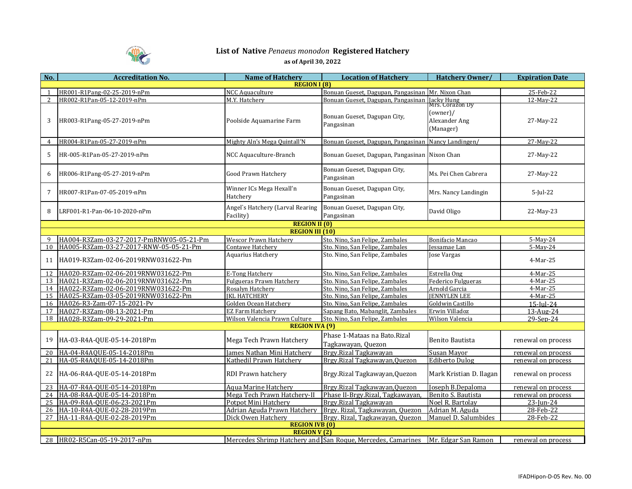

## **List of Native** *Penaeus monodon* **Registered Hatchery as of April 30, 2022**

| No.                    | <b>Accreditation No.</b>                | <b>Name of Hatchery</b>                       | <b>Location of Hatchery</b>                                                     | Hatchery Owner/                                           | <b>Expiration Date</b> |  |  |  |  |
|------------------------|-----------------------------------------|-----------------------------------------------|---------------------------------------------------------------------------------|-----------------------------------------------------------|------------------------|--|--|--|--|
| <b>REGION I (8)</b>    |                                         |                                               |                                                                                 |                                                           |                        |  |  |  |  |
|                        | HR001-R1Pang-02-25-2019-nPm             | <b>NCC Aquaculture</b>                        | Bonuan Gueset, Dagupan, Pangasinan                                              | Mr. Nixon Chan                                            | 25-Feb-22              |  |  |  |  |
| $\overline{2}$         | HR002-R1Pan-05-12-2019-nPm              | M.Y. Hatchery                                 | Bonuan Gueset, Dagupan, Pangasinan                                              | <b>Jacky Hung</b>                                         | 12-May-22              |  |  |  |  |
| 3                      | HR003-R1Pang-05-27-2019-nPm             | Poolside Aquamarine Farm                      | Bonuan Gueset, Dagupan City,<br>Pangasinan                                      | Mrs. Corazon Dy<br>(owner)/<br>Alexander Ang<br>(Manager) | 27-May-22              |  |  |  |  |
| 4                      | HR004-R1Pan-05-27-2019-nPm              | Mighty Aln's Mega Quintall'N                  | Bonuan Gueset, Dagupan, Pangasinan                                              | Nancy Landingen/                                          | 27-May-22              |  |  |  |  |
| 5                      | HR-005-R1Pan-05-27-2019-nPm             | NCC Aquaculture-Branch                        | Bonuan Gueset, Dagupan, Pangasinan Nixon Chan                                   |                                                           | 27-May-22              |  |  |  |  |
| 6                      | HR006-R1Pang-05-27-2019-nPm             | Good Prawn Hatchery                           | Bonuan Gueset, Dagupan City,<br>Pangasinan                                      | Ms. Pei Chen Cabrera                                      | 27-May-22              |  |  |  |  |
| $\overline{7}$         | HR007-R1Pan-07-05-2019-nPm              | Winner ICs Mega Hexall'n<br>Hatchery          | Bonuan Gueset, Dagupan City,<br>Pangasinan                                      | Mrs. Nancy Landingin                                      | $5$ -Jul-22            |  |  |  |  |
| 8                      | LRF001-R1-Pan-06-10-2020-nPm            | Angel's Hatchery (Larval Rearing<br>Facility) | Bonuan Gueset, Dagupan City,<br>Pangasinan                                      | David Oligo                                               | 22-May-23              |  |  |  |  |
| <b>REGION II (0)</b>   |                                         |                                               |                                                                                 |                                                           |                        |  |  |  |  |
| <b>REGION III (10)</b> |                                         |                                               |                                                                                 |                                                           |                        |  |  |  |  |
|                        | HA004-R3Zam-03-27-2017-PmRNW05-05-21-Pm | <b>Wescor Prawn Hatchery</b>                  | Sto. Nino, San Felipe, Zambales                                                 | Bonifacio Mancao                                          | 5-May-24               |  |  |  |  |
| 10                     | HA005-R3Zam-03-27-2017-RNW-05-05-21-Pm  | Contawe Hatchery                              | Sto. Nino, San Felipe, Zambales                                                 | <b>Jessamae</b> Lan                                       | 5-May-24               |  |  |  |  |
| 11                     | HA019-R3Zam-02-06-2019RNW031622-Pm      | Aquarius Hatchery                             | Sto. Nino, San Felipe, Zambales                                                 | Jose Vargas                                               | 4-Mar-25               |  |  |  |  |
| 12                     | HA020-R3Zam-02-06-2019RNW031622-Pm      | E-Tong Hatchery                               | Sto. Nino, San Felipe, Zambales                                                 | Estrella Ong                                              | 4-Mar-25               |  |  |  |  |
| 13                     | HA021-R3Zam-02-06-2019RNW031622-Pm      | <b>Fulgueras Prawn Hatchery</b>               | Sto. Nino, San Felipe, Zambales                                                 | Federico Fulgueras                                        | 4-Mar-25               |  |  |  |  |
| 14                     | HA022-R3Zam-02-06-2019RNW031622-Pm      | Rosalvn Hatcherv                              | Sto. Nino, San Felipe, Zambales                                                 | Arnold Garcia                                             | 4-Mar-25               |  |  |  |  |
| 15                     | HA025-R3Zam-03-05-2019RNW031622-Pm      | <b>IKL HATCHERY</b>                           | Sto. Nino, San Felipe, Zambales                                                 | <b>JENNYLEN LEE</b>                                       | 4-Mar-25               |  |  |  |  |
| 16                     | HA026-R3-Zam-07-15-2021-Pv              | Golden Ocean Hatchery                         | Sto. Nino, San Felipe, Zambales                                                 | <b>Goldwin Castillo</b>                                   | $15$ -Iul-24           |  |  |  |  |
| 17                     | HA027-R3Zam-08-13-2021-Pm               | <b>EZ Farm Hatchery</b>                       | Sapang Bato, Mabanglit, Zambales                                                | Erwin Villadoz                                            | 13-Aug-24              |  |  |  |  |
|                        | 18 HA028-R3Zam-09-29-2021-Pm            | Wilson Valencia Prawn Culture                 | Sto. Nino, San Felipe, Zambales                                                 | Wilson Valencia                                           | 29-Sep-24              |  |  |  |  |
| <b>REGION IVA (9)</b>  |                                         |                                               |                                                                                 |                                                           |                        |  |  |  |  |
| 19                     | HA-03-R4A-QUE-05-14-2018Pm              | Mega Tech Prawn Hatchery                      | Phase 1-Mataas na Bato.Rizal<br>Tagkawayan, Quezon                              | Benito Bautista                                           | renewal on process     |  |  |  |  |
| 20                     | HA-04-R4AOUE-05-14-2018Pm               | James Nathan Mini Hatchery                    | Brgy.Rizal Tagkawayan                                                           | Susan Mayor                                               | renewal on process     |  |  |  |  |
| 21                     | HA-05-R4AOUE-05-14-2018Pm               | Kathedil Prawn Hatchery                       | Brgy.Rizal Tagkawayan, Quezon                                                   | <b>Ediberto Dulog</b>                                     | renewal on process     |  |  |  |  |
| 22                     | HA-06-R4A-QUE-05-14-2018Pm              | RDI Prawn hatchery                            | Brgy.Rizal Tagkawayan, Quezon                                                   | Mark Kristian D. Ilagan                                   | renewal on process     |  |  |  |  |
| 23                     | HA-07-R4A-QUE-05-14-2018Pm              | Aqua Marine Hatchery                          | Brgy.Rizal Tagkawayan, Quezon                                                   | Joseph B.Depaloma                                         | renewal on process     |  |  |  |  |
| 24                     | HA-08-R4A-QUE-05-14-2018Pm              | Mega Tech Prawn Hatchery-II                   | Phase II-Brgy.Rizal, Tagkawayan,                                                | Benito S. Bautista                                        | renewal on process     |  |  |  |  |
| 25                     | HA-09-R4A-QUE-06-23-2021Pm              | Potpot Mini Hatchery                          | Brgy.Rizal Tagkawayan                                                           | Noel R. Bartolay                                          | $23$ -Jun-24           |  |  |  |  |
| 26                     | HA-10-R4A-OUE-02-28-2019Pm              |                                               | Adrian Aguda Prawn Hatchery Brgy. Rizal, Tagkawayan, Quezon                     | Adrian M. Aguda                                           | 28-Feb-22              |  |  |  |  |
| 27                     | HA-11-R4A-OUE-02-28-2019Pm              | Dick Owen Hatchery                            | Brgy. Rizal, Tagkawayan, Quezon                                                 | Manuel D. Salumbides                                      | 28-Feb-22              |  |  |  |  |
|                        |                                         | <b>REGION IVB (0)</b>                         |                                                                                 |                                                           |                        |  |  |  |  |
| <b>REGION V (2)</b>    |                                         |                                               |                                                                                 |                                                           |                        |  |  |  |  |
|                        | 28 HR02-R5Can-05-19-2017-nPm            |                                               | Mercedes Shrimp Hatchery and San Roque, Mercedes, Camarines Mr. Edgar San Ramon |                                                           | renewal on process     |  |  |  |  |